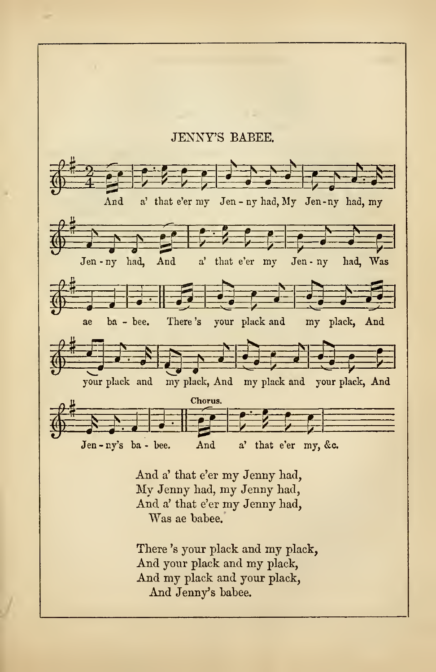

There 'a your plack and my plack, And your plack and my plack, And my plack and your plack, And Jenny's babee.